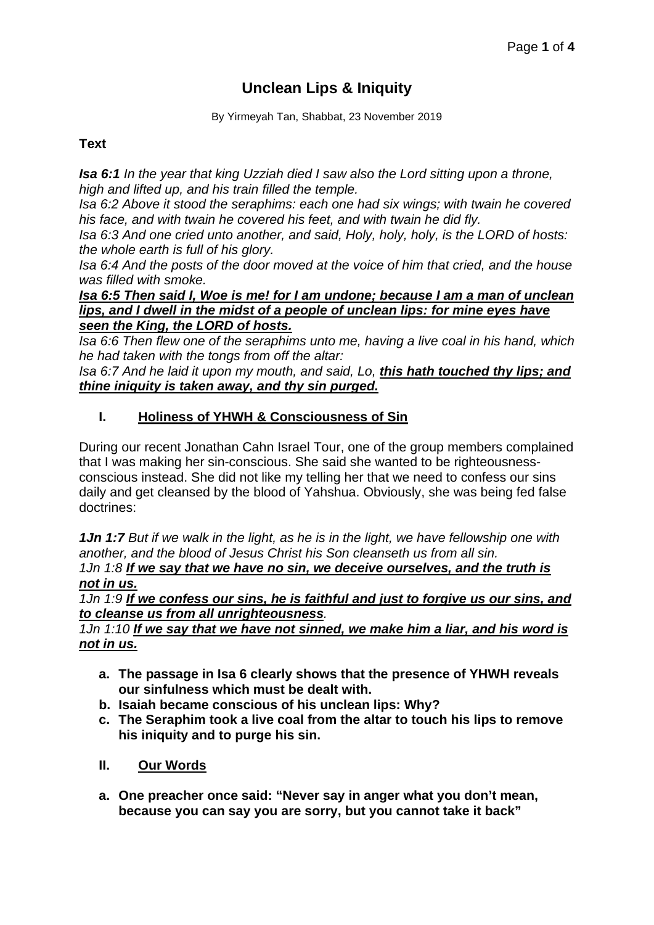# **Unclean Lips & Iniquity**

By Yirmeyah Tan, Shabbat, 23 November 2019

#### **Text**

*Isa 6:1 In the year that king Uzziah died I saw also the Lord sitting upon a throne, high and lifted up, and his train filled the temple.*

*Isa 6:2 Above it stood the seraphims: each one had six wings; with twain he covered his face, and with twain he covered his feet, and with twain he did fly.*

*Isa 6:3 And one cried unto another, and said, Holy, holy, holy, is the LORD of hosts: the whole earth is full of his glory.*

*Isa 6:4 And the posts of the door moved at the voice of him that cried, and the house was filled with smoke.*

*Isa 6:5 Then said I, Woe is me! for I am undone; because I am a man of unclean lips, and I dwell in the midst of a people of unclean lips: for mine eyes have seen the King, the LORD of hosts.*

*Isa 6:6 Then flew one of the seraphims unto me, having a live coal in his hand, which he had taken with the tongs from off the altar:*

*Isa 6:7 And he laid it upon my mouth, and said, Lo, this hath touched thy lips; and thine iniquity is taken away, and thy sin purged.*

## **I. Holiness of YHWH & Consciousness of Sin**

During our recent Jonathan Cahn Israel Tour, one of the group members complained that I was making her sin-conscious. She said she wanted to be righteousnessconscious instead. She did not like my telling her that we need to confess our sins daily and get cleansed by the blood of Yahshua. Obviously, she was being fed false doctrines:

*1Jn 1:7 But if we walk in the light, as he is in the light, we have fellowship one with another, and the blood of Jesus Christ his Son cleanseth us from all sin. 1Jn 1:8 If we say that we have no sin, we deceive ourselves, and the truth is*

## *not in us.*

*1Jn 1:9 If we confess our sins, he is faithful and just to forgive us our sins, and to cleanse us from all unrighteousness.*

*1Jn 1:10 If we say that we have not sinned, we make him a liar, and his word is not in us.*

- **a. The passage in Isa 6 clearly shows that the presence of YHWH reveals our sinfulness which must be dealt with.**
- **b. Isaiah became conscious of his unclean lips: Why?**
- **c. The Seraphim took a live coal from the altar to touch his lips to remove his iniquity and to purge his sin.**
- **II. Our Words**
- **a. One preacher once said: "Never say in anger what you don't mean, because you can say you are sorry, but you cannot take it back"**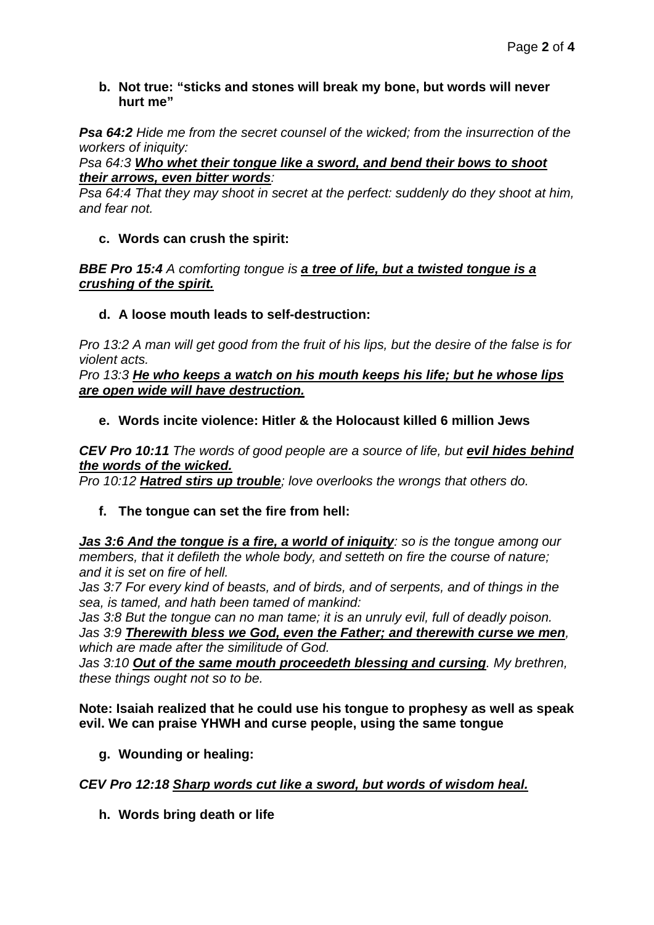#### **b. Not true: "sticks and stones will break my bone, but words will never hurt me"**

*Psa 64:2 Hide me from the secret counsel of the wicked; from the insurrection of the workers of iniquity:*

#### *Psa 64:3 Who whet their tongue like a sword, and bend their bows to shoot their arrows, even bitter words:*

*Psa 64:4 That they may shoot in secret at the perfect: suddenly do they shoot at him, and fear not.*

## **c. Words can crush the spirit:**

*BBE Pro 15:4 A comforting tongue is a tree of life, but a twisted tongue is a crushing of the spirit.*

## **d. A loose mouth leads to self-destruction:**

*Pro 13:2 A man will get good from the fruit of his lips, but the desire of the false is for violent acts.*

*Pro 13:3 He who keeps a watch on his mouth keeps his life; but he whose lips are open wide will have destruction.*

## **e. Words incite violence: Hitler & the Holocaust killed 6 million Jews**

*CEV Pro 10:11 The words of good people are a source of life, but evil hides behind the words of the wicked.*

*Pro 10:12 Hatred stirs up trouble; love overlooks the wrongs that others do.*

# **f. The tongue can set the fire from hell:**

*Jas 3:6 And the tongue is a fire, a world of iniquity: so is the tongue among our members, that it defileth the whole body, and setteth on fire the course of nature; and it is set on fire of hell.*

*Jas 3:7 For every kind of beasts, and of birds, and of serpents, and of things in the sea, is tamed, and hath been tamed of mankind:*

*Jas 3:8 But the tongue can no man tame; it is an unruly evil, full of deadly poison. Jas 3:9 Therewith bless we God, even the Father; and therewith curse we men, which are made after the similitude of God.*

*Jas 3:10 Out of the same mouth proceedeth blessing and cursing. My brethren, these things ought not so to be.*

**Note: Isaiah realized that he could use his tongue to prophesy as well as speak evil. We can praise YHWH and curse people, using the same tongue**

**g. Wounding or healing:**

## *CEV Pro 12:18 Sharp words cut like a sword, but words of wisdom heal.*

**h. Words bring death or life**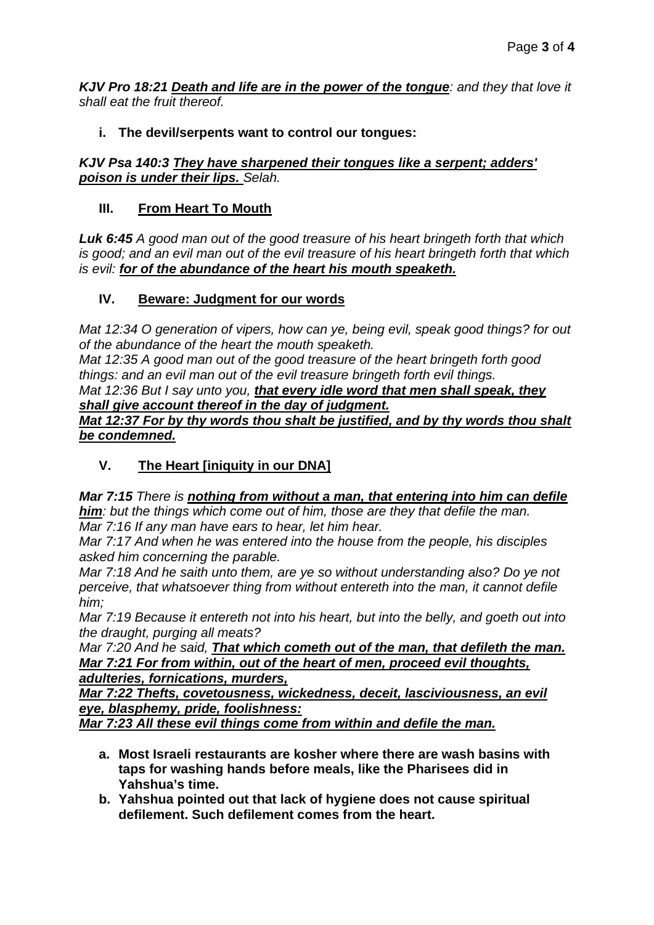*KJV Pro 18:21 Death and life are in the power of the tongue: and they that love it shall eat the fruit thereof.*

**i. The devil/serpents want to control our tongues:**

*KJV Psa 140:3 They have sharpened their tongues like a serpent; adders' poison is under their lips. Selah.*

## **III. From Heart To Mouth**

*Luk 6:45 A good man out of the good treasure of his heart bringeth forth that which is good; and an evil man out of the evil treasure of his heart bringeth forth that which is evil: for of the abundance of the heart his mouth speaketh.*

## **IV. Beware: Judgment for our words**

*Mat 12:34 O generation of vipers, how can ye, being evil, speak good things? for out of the abundance of the heart the mouth speaketh.*

*Mat 12:35 A good man out of the good treasure of the heart bringeth forth good things: and an evil man out of the evil treasure bringeth forth evil things.*

*Mat 12:36 But I say unto you, that every idle word that men shall speak, they shall give account thereof in the day of judgment.*

*Mat 12:37 For by thy words thou shalt be justified, and by thy words thou shalt be condemned.*

# **V. The Heart [iniquity in our DNA]**

## *Mar 7:15 There is nothing from without a man, that entering into him can defile*

*him: but the things which come out of him, those are they that defile the man. Mar 7:16 If any man have ears to hear, let him hear.*

*Mar 7:17 And when he was entered into the house from the people, his disciples asked him concerning the parable.*

*Mar 7:18 And he saith unto them, are ye so without understanding also? Do ye not perceive, that whatsoever thing from without entereth into the man, it cannot defile him;*

*Mar 7:19 Because it entereth not into his heart, but into the belly, and goeth out into the draught, purging all meats?*

*Mar 7:20 And he said, That which cometh out of the man, that defileth the man. Mar 7:21 For from within, out of the heart of men, proceed evil thoughts, adulteries, fornications, murders,*

*Mar 7:22 Thefts, covetousness, wickedness, deceit, lasciviousness, an evil eye, blasphemy, pride, foolishness:*

*Mar 7:23 All these evil things come from within and defile the man.*

- **a. Most Israeli restaurants are kosher where there are wash basins with taps for washing hands before meals, like the Pharisees did in Yahshua's time.**
- **b. Yahshua pointed out that lack of hygiene does not cause spiritual defilement. Such defilement comes from the heart.**